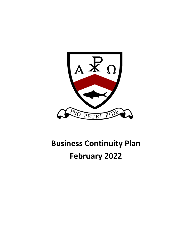

# **Business Continuity Plan February 2022**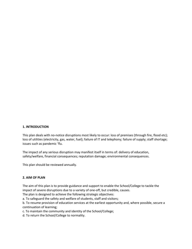#### **1. INTRODUCTION**

This plan deals with no-notice disruptions most likely to occur: loss of premises (through fire, flood etc); loss of utilities (electricity, gas, water, fuel); failure of IT and telephony; failure of supply; staff shortage; issues such as pandemic 'flu.

The impact of any serious disruption may manifest itself in terms of: delivery of education, safety/welfare, financial consequences; reputation damage; environmental consequences.

This plan should be reviewed annually.

#### **2. AIM OF PLAN**

The aim of this plan is to provide guidance and support to enable the School/College to tackle the impact of severe disruptions due to a variety of one-off, but credible, causes.

The plan is designed to achieve the following strategic objectives:

a. To safeguard the safety and welfare of students, staff and visitors;

b. To resume provision of education services at the earliest opportunity and, where possible, secure a continuation of learning;

c. To maintain the community and identity of the School/College;

d. To return the School/College to normality.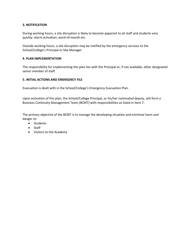# **3. NOTIFICATION**

During working hours, a site disruption is likely to become apparent to all staff and students very quickly: alarm activation, word-of-mouth etc.

Outside working hours, a site disruption may be notified by the emergency services to the School/College's Principal or Site Manager

## **4. PLAN IMPLEMENTATION**

The responsibility for implementing this plan lies with the Principal or, if not available, other designated senior member of staff.

## **5. INITIAL ACTIONS AND EMERGENCY FILE**

Evacuation is dealt with in the School/College's Emergency Evacuation Plan.

Upon activation of this plan, the School/College Principal, or his/her nominated deputy, will form a Business Continuity Management Team (BCMT) with responsibilities as listed in Item 7.

The primary objective of the BCMT is to manage the developing situation and minimise harm and danger to:

- Students
- Staff
- Visitors to the Academy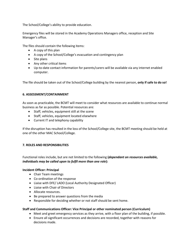The School/College's ability to provide education.

Emergency files will be stored in the Academy Operations Managers office, reception and Site Manager's office.

The files should contain the following items:

- A copy of this plan
- A copy of the School/College's evacuation and contingency plan
- Site plans
- Any other critical items
- Up-to-date contact information for parents/carers will be available via any internet enabled computer.

The file should be taken out of the School/College building by the nearest person, **only if safe to do so!**

# **6. ASSESSMENT/CONTAINMENT**

As soon as practicable, the BCMT will meet to consider what resources are available to continue normal business as far as possible. Potential resources are:

- Staff, vehicles, equipment still at the scene
- Staff, vehicles, equipment located elsewhere
- Current IT and telephony capability

If the disruption has resulted in the loss of the School/College site, the BCMT meeting should be held at one of the other MAC School/College.

# **7. ROLES AND RESPONSIBILITIES**

Functional roles include, but are not limited to the following **(***dependant on resources available, individuals may be called upon to fulfil more than one role***):** 

## **Incident Officer: Principal**

- Chair Team meetings
- Co-ordination of the response
- Liaise with DFE/ LADO (Local Authority Designated Officer)
- Liaise with Chair of Directors
- Allocate resources.
- Be prepared to answer questions from the media
- Responsible for deciding whether or not staff should be sent home.

## **Staff and Communications Officer: Vice Principal or other nominated person (Curriculum)**

- Meet and greet emergency services as they arrive, with a floor plan of the building, if possible.
- Ensure all significant occurrences and decisions are recorded, together with reasons for decisions made.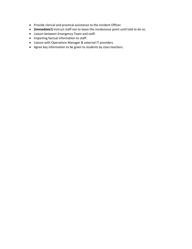- Provide clerical and practical assistance to the Incident Officer.
- **(Immediate!)** Instruct staff not to leave the rendezvous point until told to do so.
- Liaison between Emergency Team and staff.
- Imparting factual information to staff.
- Liaison with Operations Manager & external IT providers.
- Agree key information to be given to students by class teachers.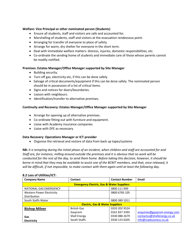## **Welfare: Vice Principal or other nominated person (Students)**

- Ensure all students, staff and visitors are safe and accounted for.
- Marshalling of students, staff and visitors at the evacuation rendezvous point.
- Arranging for transfer of everyone to place of safety.
- Arrange for warm, dry shelter for everyone in the short term.
- Deal with immediate welfare matters: distress, injuries, domestic responsibilities, etc.
- Co-ordinate the sending home of students and immediate care of those whose parents cannot be readily notified.

#### **Premises: Estates Manager/Office Manager supported by Site Manager**

- Building security.
- Turn off gas, electricity etc, if this can be done safely.
- Salvage of critical documents/equipment if this can be done safely. The nominated person should be in possession of a list of critical items.
- Signs and notices for doors/boundaries.
- Liaison with neighbours.
- Identification/transfer to alternative premises.

#### **Continuity and Recovery: Estates Manager/Office Manager supported by Site Manager**

- Arrange for opening up of alternative premises.
- Co-ordinate fitting out with furniture and equipment.
- Liaise with Academy insurance companies
- Liaise with DFE as necessary

#### **Data Recovery**: **Operations Manager or ICT provider**

• Organise the retrieval and restore of data from back up tapes/systems

**NB:** *It is tempting during the initial phase of an incident, when children and staff are accounted for and Staff are, for instance, milling around outside the premises and it is obvious that no work will be conducted for the rest of the day, to send them home. Before taking this decision, however, it should be borne in mind that they may be available to assist one of the BCMT members, and that, once released, it will be difficult, if not impossible, to make contact with them again until at least the following day.* 

| <b>Company Name</b>                                  | Contact             | <b>Contact Number</b> | Email                        |  |  |
|------------------------------------------------------|---------------------|-----------------------|------------------------------|--|--|
| <b>Emergency Electric, Gas &amp; Water Suppliers</b> |                     |                       |                              |  |  |
| NATIONAL GAS EMERGENCY                               |                     | 0800 111 999          |                              |  |  |
| Western Power Electricity                            |                     | 0800 6783 105         |                              |  |  |
| Distribution                                         |                     |                       |                              |  |  |
| South Staffs Water                                   |                     | 0800 389 1011         |                              |  |  |
| <b>Electric, Gas &amp; Water Suppliers</b>           |                     |                       |                              |  |  |
| <b>Bishop Milner</b>                                 | <b>British Gas</b>  | 0333 202 9524         |                              |  |  |
|                                                      | Gazprom             | 01618373395           | enquiries@gazprom-energy.com |  |  |
| Gas                                                  | <b>Shell Energy</b> | 0330 088 2679         | contactus@shellenergy.co.uk  |  |  |
| Electricity                                          | South Staffs        | 0330 123 0205         | info@sswbusiness.co.uk       |  |  |

#### **8.2 Loss of Utilities/ICT:**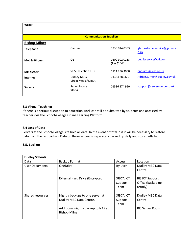| Water                          |                              |               |                             |  |  |
|--------------------------------|------------------------------|---------------|-----------------------------|--|--|
|                                |                              |               |                             |  |  |
| <b>Communication Suppliers</b> |                              |               |                             |  |  |
| <b>Bishop Milner</b>           |                              |               |                             |  |  |
| <b>Telephone</b>               | Gamma                        | 0333 014 0333 | gbc.customerservice@gamma.c |  |  |
|                                |                              |               | <u>o.uk</u>                 |  |  |
| <b>Mobile Phones</b>           | O <sub>2</sub>               | 0800 902 0213 | publicservice@o2.com        |  |  |
|                                |                              | (Pin 62401)   |                             |  |  |
| <b>MIS System</b>              | <b>SIPS Education LTD</b>    | 0121 296 3000 | enquires@sips.co.uk         |  |  |
| <b>Internet</b>                | Dudley MBC/                  | 01384 889420  | Adrian.turner@dudley.gov.uk |  |  |
|                                | Virgin Media/SJBCA           |               |                             |  |  |
| <b>Servers</b>                 | ServerSource<br><b>SJBCA</b> | 01536 274 950 | support@serversource.co.uk  |  |  |
|                                |                              |               |                             |  |  |

# **8.3 Virtual Teaching:**

If there is a serious disruption to education work can still be submitted by students and accessed by teachers via the School/College Online Learning Platform.

## **8.4 Loss of Data**

Servers at the School/College site hold all data. In the event of total loss it will be necessary to restore data from the last backup. Data on these servers is separately backed up daily and stored offsite.

## **8.5. Back up**

| <b>Dudley Schools</b> |                                                             |                              |                                                        |  |  |
|-----------------------|-------------------------------------------------------------|------------------------------|--------------------------------------------------------|--|--|
| Data                  | <b>Backup Format</b>                                        | Access                       | Location                                               |  |  |
| User Documents        | <b>OneDrive</b>                                             | By User                      | Dudley MBC Data<br>Centre                              |  |  |
|                       | External Hard Drive (Encrypted).                            | SJBCA ICT<br>Support<br>Team | <b>BIS ICT Support</b><br>Office (backed up<br>termly) |  |  |
| Shared resources      | Nightly backups to one server at<br>Dudley MBC Data Centre. | SJBCA ICT<br>Support<br>Team | Dudley MBC Data<br>Centre                              |  |  |
|                       | Additional nightly backup to NAS at<br>Bishop Milner.       |                              | <b>BIS Server Room</b>                                 |  |  |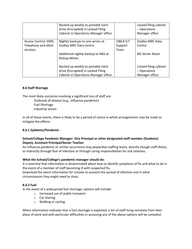|                       | Backed up weekly to portable hard<br>drive (Encrypted) in Locked Filing |           | Locked filing cabinet<br>– Operations |
|-----------------------|-------------------------------------------------------------------------|-----------|---------------------------------------|
|                       | Cabinet in Operations Manager office.                                   |           | Manager office                        |
| Access Control, SIMS, | Nightly backups to one server at                                        | SJBCA ICT | Dudley MBC Data                       |
| Telephony and other   | Dudley MBC Data Centre.                                                 | Support   | Centre                                |
| services              |                                                                         | Team      |                                       |
|                       | Additional nightly backup to NAS at<br>Bishop Milner.                   |           | <b>BIS Server Room</b>                |
|                       | Backed up weekly to portable hard                                       |           | Locked filing cabinet                 |
|                       | drive (Encrypted) in Locked Filing                                      |           | - Operations                          |
|                       | Cabinet in Operations Manager office.                                   |           | Manager office                        |

# **8.6 Staff Shortage**

The most likely scenarios involving a significant loss of staff are:

Outbreak of disease (e.g., influenza pandemic) Fuel Shortage Industrial action

In all of these events, there is likely to be a period of notice in which arrangements may be made to mitigate the effects:

# **8.6.1 Epidemic/Pandemic -**

# **School/College Pandemic Manager: Vice Principal or other designated staff member (Students) Deputy: Assistant Principal/Senior Teacher**

An influenza pandemic or similar occurrence may jeopardise staffing levels, directly though staff illness, or indirectly through fear of infection or through caring responsibilities for sick relatives.

# **What the School/College's pandemic manager should do:**

It is essential that information is disseminated about how to identify symptoms of flu and what to do in the event of a member of staff becoming ill with suspected flu.

Download the latest information for schools to prevent the spread of infection and in what circumstances they might need to close.

## **8.6.2 Fuel**

In the event of a widespread fuel shortage, options will include:

- o Increased use of public transport
- o Car sharing
- o Walking or cycling

When information indicates that a fuel shortage is expected, a list of staff living remotely from their place of work and with particular difficulties in accessing any of the above options will be compiled.